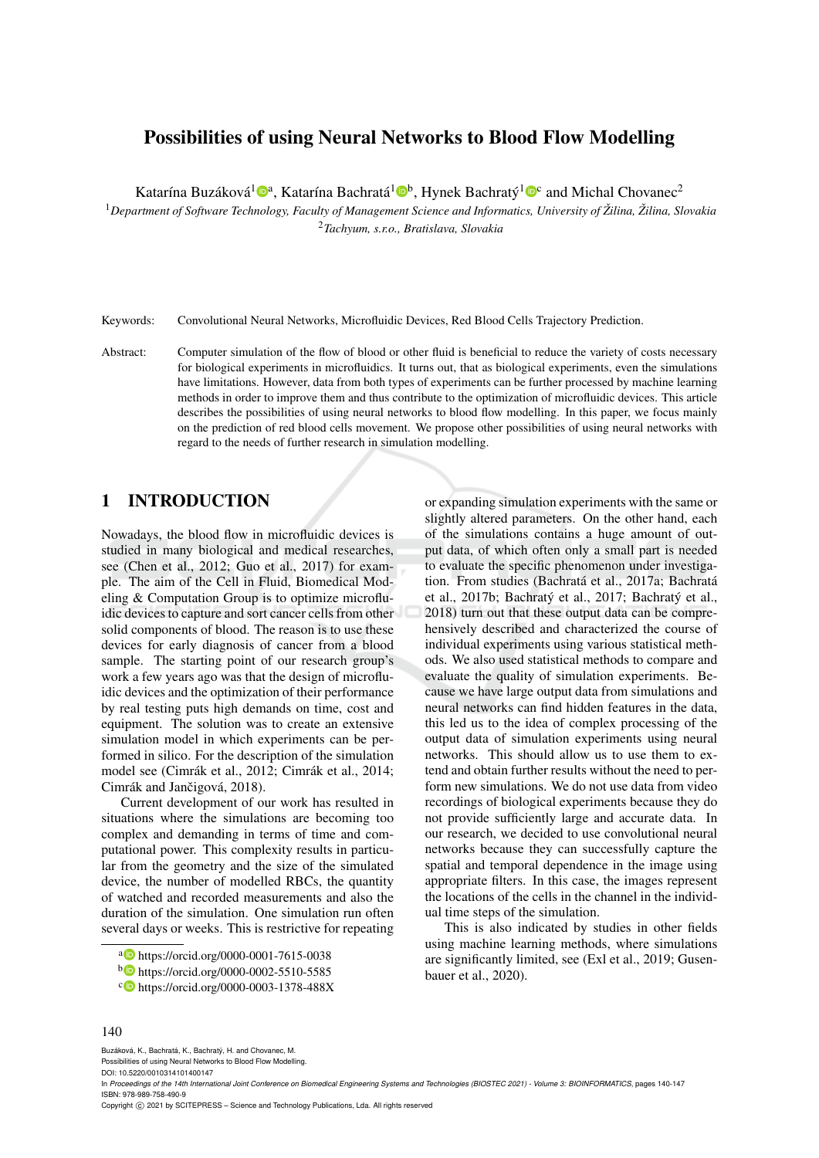# Possibilities of using Neural Networks to Blood Flow Modelling

Katarína Buzáková<sup>1</sup>®<sup>a</sup>, Katarína Bachratá<sup>1</sup>®<sup>b</sup>, Hynek Bachratý<sup>1</sup>®<sup>c</sup> and Michal Chovanec<sup>2</sup>

<sup>1</sup>*Department of Software Technology, Faculty of Management Science and Informatics, University of Zilina, ˇ Zilina, Slovakia ˇ* <sup>2</sup>*Tachyum, s.r.o., Bratislava, Slovakia*

Keywords: Convolutional Neural Networks, Microfluidic Devices, Red Blood Cells Trajectory Prediction.

Abstract: Computer simulation of the flow of blood or other fluid is beneficial to reduce the variety of costs necessary for biological experiments in microfluidics. It turns out, that as biological experiments, even the simulations have limitations. However, data from both types of experiments can be further processed by machine learning methods in order to improve them and thus contribute to the optimization of microfluidic devices. This article describes the possibilities of using neural networks to blood flow modelling. In this paper, we focus mainly on the prediction of red blood cells movement. We propose other possibilities of using neural networks with regard to the needs of further research in simulation modelling.

## 1 INTRODUCTION

Nowadays, the blood flow in microfluidic devices is studied in many biological and medical researches, see (Chen et al., 2012; Guo et al., 2017) for example. The aim of the Cell in Fluid, Biomedical Modeling & Computation Group is to optimize microfluidic devices to capture and sort cancer cells from other solid components of blood. The reason is to use these devices for early diagnosis of cancer from a blood sample. The starting point of our research group's work a few years ago was that the design of microfluidic devices and the optimization of their performance by real testing puts high demands on time, cost and equipment. The solution was to create an extensive simulation model in which experiments can be performed in silico. For the description of the simulation model see (Cimrák et al., 2012; Cimrák et al., 2014; Cimrák and Jančigová, 2018).

Current development of our work has resulted in situations where the simulations are becoming too complex and demanding in terms of time and computational power. This complexity results in particular from the geometry and the size of the simulated device, the number of modelled RBCs, the quantity of watched and recorded measurements and also the duration of the simulation. One simulation run often several days or weeks. This is restrictive for repeating or expanding simulation experiments with the same or slightly altered parameters. On the other hand, each of the simulations contains a huge amount of output data, of which often only a small part is needed to evaluate the specific phenomenon under investigation. From studies (Bachratá et al., 2017a; Bachratá et al., 2017b; Bachratý et al., 2017; Bachratý et al., 2018) turn out that these output data can be comprehensively described and characterized the course of individual experiments using various statistical methods. We also used statistical methods to compare and evaluate the quality of simulation experiments. Because we have large output data from simulations and neural networks can find hidden features in the data, this led us to the idea of complex processing of the output data of simulation experiments using neural networks. This should allow us to use them to extend and obtain further results without the need to perform new simulations. We do not use data from video recordings of biological experiments because they do not provide sufficiently large and accurate data. In our research, we decided to use convolutional neural networks because they can successfully capture the spatial and temporal dependence in the image using appropriate filters. In this case, the images represent the locations of the cells in the channel in the individual time steps of the simulation.

This is also indicated by studies in other fields using machine learning methods, where simulations are significantly limited, see (Exl et al., 2019; Gusenbauer et al., 2020).

Buzáková, K., Bachratá, K., Bachratý, H. and Chovanec, M. Possibilities of using Neural Networks to Blood Flow Modelling.

DOI: 10.5220/0010314101400147

<sup>a</sup> https://orcid.org/0000-0001-7615-0038

<sup>b</sup> https://orcid.org/0000-0002-5510-5585

<sup>&</sup>lt;sup>c</sup> https://orcid.org/0000-0003-1378-488X

<sup>140</sup>

In *Proceedings of the 14th International Joint Conference on Biomedical Engineering Systems and Technologies (BIOSTEC 2021) - Volume 3: BIOINFORMATICS*, pages 140-147 ISBN: 978-989-758-490-9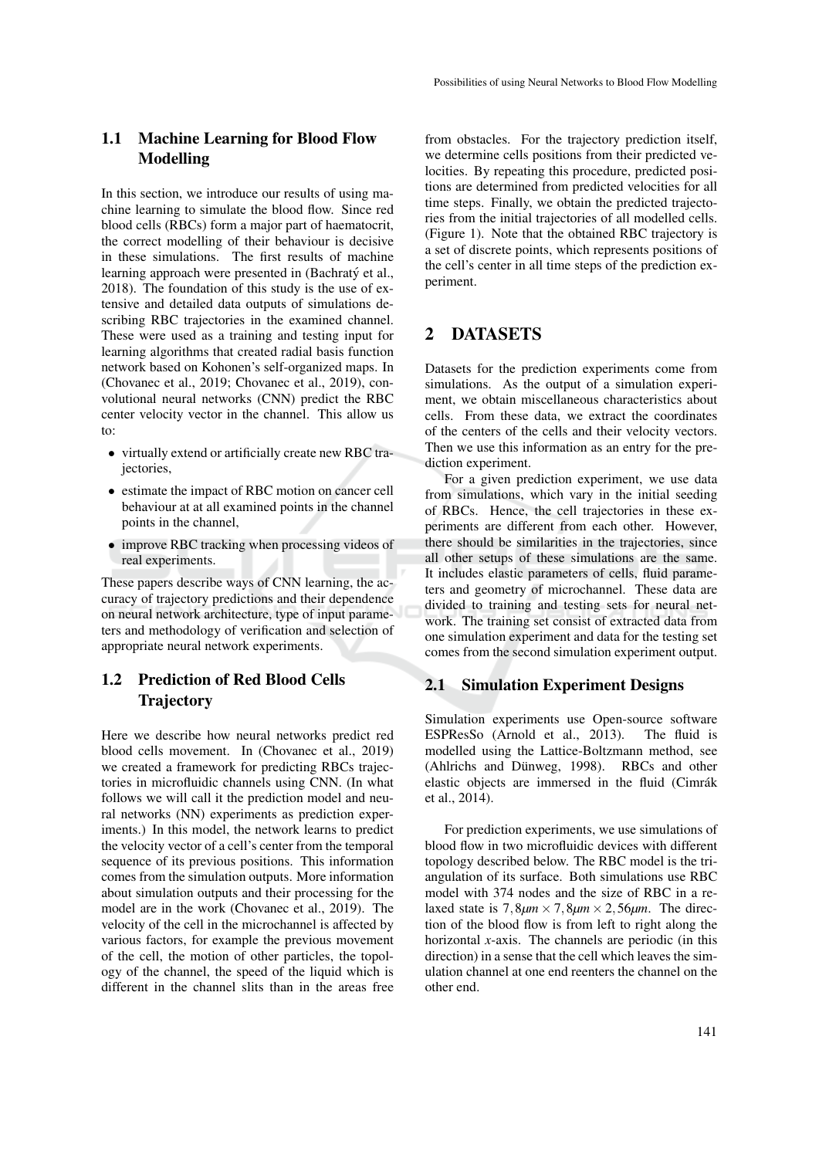## 1.1 Machine Learning for Blood Flow Modelling

In this section, we introduce our results of using machine learning to simulate the blood flow. Since red blood cells (RBCs) form a major part of haematocrit, the correct modelling of their behaviour is decisive in these simulations. The first results of machine learning approach were presented in (Bachratý et al., 2018). The foundation of this study is the use of extensive and detailed data outputs of simulations describing RBC trajectories in the examined channel. These were used as a training and testing input for learning algorithms that created radial basis function network based on Kohonen's self-organized maps. In (Chovanec et al., 2019; Chovanec et al., 2019), convolutional neural networks (CNN) predict the RBC center velocity vector in the channel. This allow us to:

- virtually extend or artificially create new RBC trajectories,
- estimate the impact of RBC motion on cancer cell behaviour at at all examined points in the channel points in the channel,
- improve RBC tracking when processing videos of real experiments.

These papers describe ways of CNN learning, the accuracy of trajectory predictions and their dependence on neural network architecture, type of input parameters and methodology of verification and selection of appropriate neural network experiments.

## 1.2 Prediction of Red Blood Cells **Trajectory**

Here we describe how neural networks predict red blood cells movement. In (Chovanec et al., 2019) we created a framework for predicting RBCs trajectories in microfluidic channels using CNN. (In what follows we will call it the prediction model and neural networks (NN) experiments as prediction experiments.) In this model, the network learns to predict the velocity vector of a cell's center from the temporal sequence of its previous positions. This information comes from the simulation outputs. More information about simulation outputs and their processing for the model are in the work (Chovanec et al., 2019). The velocity of the cell in the microchannel is affected by various factors, for example the previous movement of the cell, the motion of other particles, the topology of the channel, the speed of the liquid which is different in the channel slits than in the areas free

from obstacles. For the trajectory prediction itself, we determine cells positions from their predicted velocities. By repeating this procedure, predicted positions are determined from predicted velocities for all time steps. Finally, we obtain the predicted trajectories from the initial trajectories of all modelled cells. (Figure 1). Note that the obtained RBC trajectory is a set of discrete points, which represents positions of the cell's center in all time steps of the prediction experiment.

## 2 DATASETS

Datasets for the prediction experiments come from simulations. As the output of a simulation experiment, we obtain miscellaneous characteristics about cells. From these data, we extract the coordinates of the centers of the cells and their velocity vectors. Then we use this information as an entry for the prediction experiment.

For a given prediction experiment, we use data from simulations, which vary in the initial seeding of RBCs. Hence, the cell trajectories in these experiments are different from each other. However, there should be similarities in the trajectories, since all other setups of these simulations are the same. It includes elastic parameters of cells, fluid parameters and geometry of microchannel. These data are divided to training and testing sets for neural network. The training set consist of extracted data from one simulation experiment and data for the testing set comes from the second simulation experiment output.

#### 2.1 Simulation Experiment Designs

Simulation experiments use Open-source software<br>ESPResSo (Arnold et al. 2013) The fluid is ESPResSo (Arnold et al., 2013). modelled using the Lattice-Boltzmann method, see (Ahlrichs and Dünweg, 1998). RBCs and other elastic objects are immersed in the fluid (Cimrák et al., 2014).

For prediction experiments, we use simulations of blood flow in two microfluidic devices with different topology described below. The RBC model is the triangulation of its surface. Both simulations use RBC model with 374 nodes and the size of RBC in a relaxed state is  $7,8\mu m \times 7,8\mu m \times 2,56\mu m$ . The direction of the blood flow is from left to right along the horizontal *x*-axis. The channels are periodic (in this direction) in a sense that the cell which leaves the simulation channel at one end reenters the channel on the other end.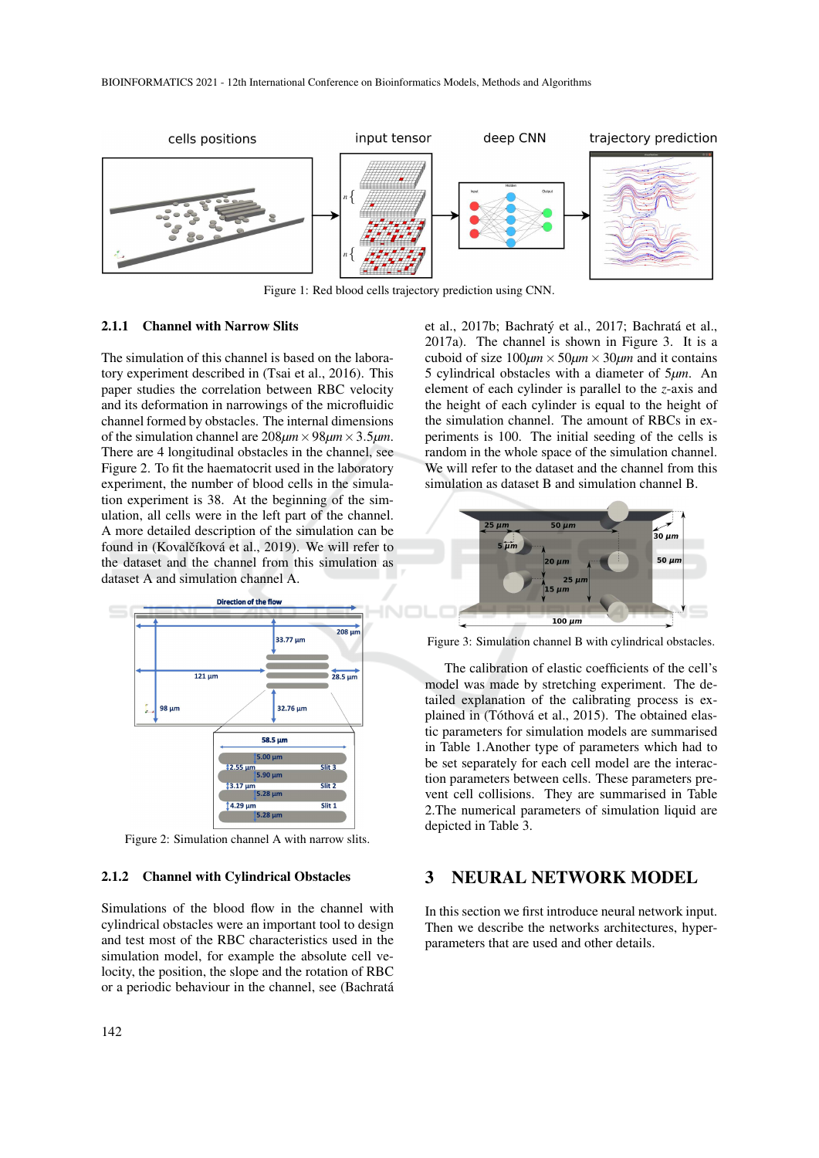

Figure 1: Red blood cells trajectory prediction using CNN.

#### 2.1.1 Channel with Narrow Slits

The simulation of this channel is based on the laboratory experiment described in (Tsai et al., 2016). This paper studies the correlation between RBC velocity and its deformation in narrowings of the microfluidic channel formed by obstacles. The internal dimensions of the simulation channel are 208*µm*×98*µm*×3.5*µm*. There are 4 longitudinal obstacles in the channel, see Figure 2. To fit the haematocrit used in the laboratory experiment, the number of blood cells in the simulation experiment is 38. At the beginning of the simulation, all cells were in the left part of the channel. A more detailed description of the simulation can be found in (Kovalčíková et al., 2019). We will refer to the dataset and the channel from this simulation as dataset A and simulation channel A.



Figure 2: Simulation channel A with narrow slits.

#### 2.1.2 Channel with Cylindrical Obstacles

Simulations of the blood flow in the channel with cylindrical obstacles were an important tool to design and test most of the RBC characteristics used in the simulation model, for example the absolute cell velocity, the position, the slope and the rotation of RBC or a periodic behaviour in the channel, see (Bachrata´

142

et al., 2017b; Bachratý et al., 2017; Bachratá et al., 2017a). The channel is shown in Figure 3. It is a cuboid of size  $100 \mu m \times 50 \mu m \times 30 \mu m$  and it contains 5 cylindrical obstacles with a diameter of 5*µm*. An element of each cylinder is parallel to the *z*-axis and the height of each cylinder is equal to the height of the simulation channel. The amount of RBCs in experiments is 100. The initial seeding of the cells is random in the whole space of the simulation channel. We will refer to the dataset and the channel from this simulation as dataset B and simulation channel B.



Figure 3: Simulation channel B with cylindrical obstacles.

The calibration of elastic coefficients of the cell's model was made by stretching experiment. The detailed explanation of the calibrating process is explained in (Tóthová et al., 2015). The obtained elastic parameters for simulation models are summarised in Table 1.Another type of parameters which had to be set separately for each cell model are the interaction parameters between cells. These parameters prevent cell collisions. They are summarised in Table 2.The numerical parameters of simulation liquid are depicted in Table 3.

#### 3 NEURAL NETWORK MODEL

In this section we first introduce neural network input. Then we describe the networks architectures, hyperparameters that are used and other details.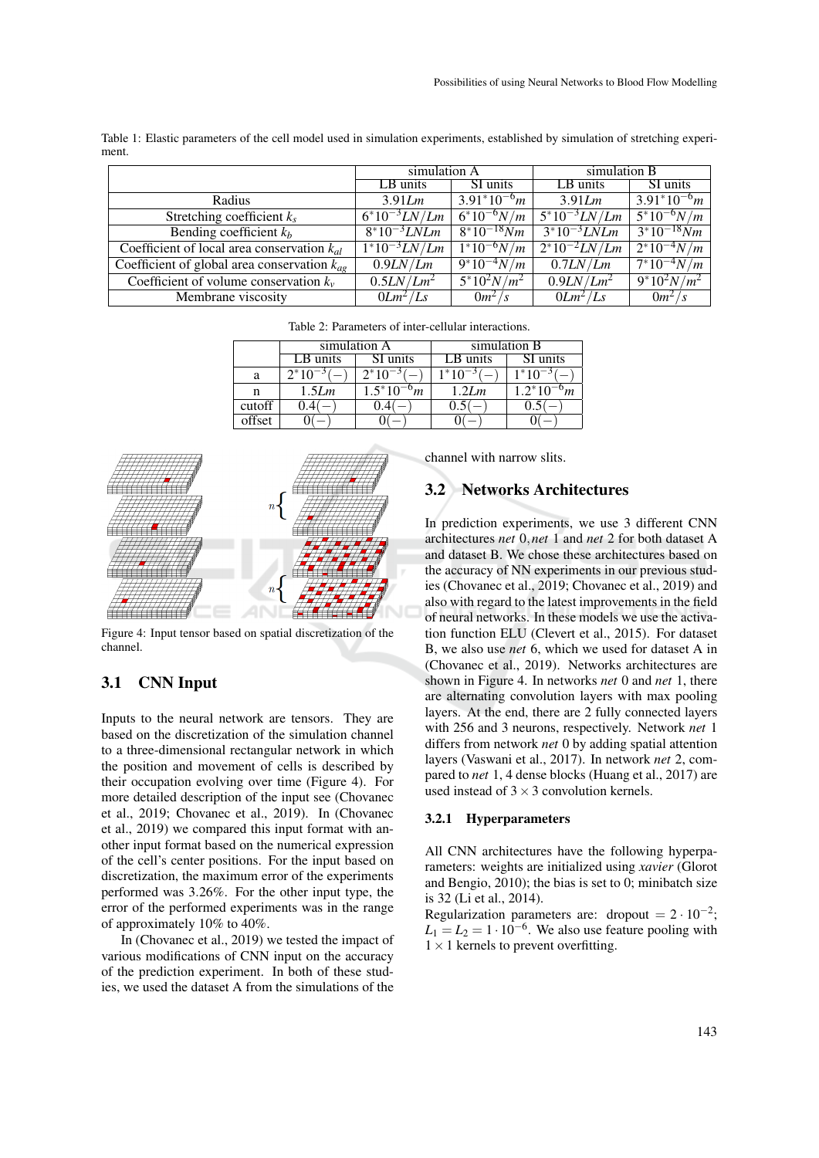| Table 1: Elastic parameters of the cell model used in simulation experiments, established by simulation of stretching experi- |  |  |  |  |
|-------------------------------------------------------------------------------------------------------------------------------|--|--|--|--|
| ment.                                                                                                                         |  |  |  |  |
|                                                                                                                               |  |  |  |  |

|                                                  | simulation A               |                  | simulation B             |                  |
|--------------------------------------------------|----------------------------|------------------|--------------------------|------------------|
|                                                  | $LB$ units                 | SI units         | LB units                 | SI units         |
| Radius                                           | 3.91Lm                     | $3.91^*10^{-6}m$ | 3.91Lm                   | $3.91^*10^{-6}m$ |
| Stretching coefficient $k_s$                     | $6*10^{-3}LN/Lm$           | $6*10^{-6}N/m$   | $\sqrt{5^*10^{-3}LN/Lm}$ | $5*10^{-6}N/m$   |
| Bending coefficient $k_b$                        | $8*10^{-3} LNLm$           | $8*10^{-18} Nm$  | $3*10^{-3} LNLm$         | $3*10^{-18} Nm$  |
| Coefficient of local area conservation $k_{al}$  | $\frac{1*10^{-3}LN/Lm}{2}$ | $1*10^{-6}N/m$   | $2^*10^{-2}LN/Lm$        | $2^*10^{-4}N/m$  |
| Coefficient of global area conservation $k_{ap}$ | 0.9LN/Lm                   | $9*10^{-4}N/m$   | 0.7LN/Lm                 | $7*10^{-4}N/m$   |
| Coefficient of volume conservation $k_v$         | 0.5LN/Lm <sup>2</sup>      | $5*10^2 N/m^2$   | 0.9LN/Lm <sup>2</sup>    | $9*10^2 N/m^2$   |
| Membrane viscosity                               | $0Lm^2/Ls$                 | $0m^2/s$         | $0Lm^2/Ls$               | $0m^2/s$         |

Table 2: Parameters of inter-cellular interactions.

|        |             | simulation A                    | simulation B |              |  |
|--------|-------------|---------------------------------|--------------|--------------|--|
|        | LB units    | SI units                        | $LB$ units   | SI units     |  |
| a      | $2*10^{-3}$ | $2*10^{-3}$                     | $1*10^{-3}$  | $1*10^{-3}$  |  |
| n      | 1.5Lm       | $1.5*10^{-1}$<br>$\mathsf{v}_m$ | 1.2Lm        | $1.2*10^{-}$ |  |
| cutoff |             |                                 |              |              |  |
| offset |             |                                 |              |              |  |



Figure 4: Input tensor based on spatial discretization of the channel.

### 3.1 CNN Input

Inputs to the neural network are tensors. They are based on the discretization of the simulation channel to a three-dimensional rectangular network in which the position and movement of cells is described by their occupation evolving over time (Figure 4). For more detailed description of the input see (Chovanec et al., 2019; Chovanec et al., 2019). In (Chovanec et al., 2019) we compared this input format with another input format based on the numerical expression of the cell's center positions. For the input based on discretization, the maximum error of the experiments performed was 3.26%. For the other input type, the error of the performed experiments was in the range of approximately 10% to 40%.

In (Chovanec et al., 2019) we tested the impact of various modifications of CNN input on the accuracy of the prediction experiment. In both of these studies, we used the dataset A from the simulations of the channel with narrow slits.

### 3.2 Networks Architectures

In prediction experiments, we use 3 different CNN architectures *net* 0,*net* 1 and *net* 2 for both dataset A and dataset B. We chose these architectures based on the accuracy of NN experiments in our previous studies (Chovanec et al., 2019; Chovanec et al., 2019) and also with regard to the latest improvements in the field of neural networks. In these models we use the activation function ELU (Clevert et al., 2015). For dataset B, we also use *net* 6, which we used for dataset A in (Chovanec et al., 2019). Networks architectures are shown in Figure 4. In networks *net* 0 and *net* 1, there are alternating convolution layers with max pooling layers. At the end, there are 2 fully connected layers with 256 and 3 neurons, respectively. Network *net* 1 differs from network *net* 0 by adding spatial attention layers (Vaswani et al., 2017). In network *net* 2, compared to *net* 1, 4 dense blocks (Huang et al., 2017) are used instead of  $3 \times 3$  convolution kernels.

#### 3.2.1 Hyperparameters

All CNN architectures have the following hyperparameters: weights are initialized using *xavier* (Glorot and Bengio, 2010); the bias is set to 0; minibatch size is 32 (Li et al., 2014).

Regularization parameters are: dropout =  $2 \cdot 10^{-2}$ ;  $L_1 = L_2 = 1 \cdot 10^{-6}$ . We also use feature pooling with  $1 \times 1$  kernels to prevent overfitting.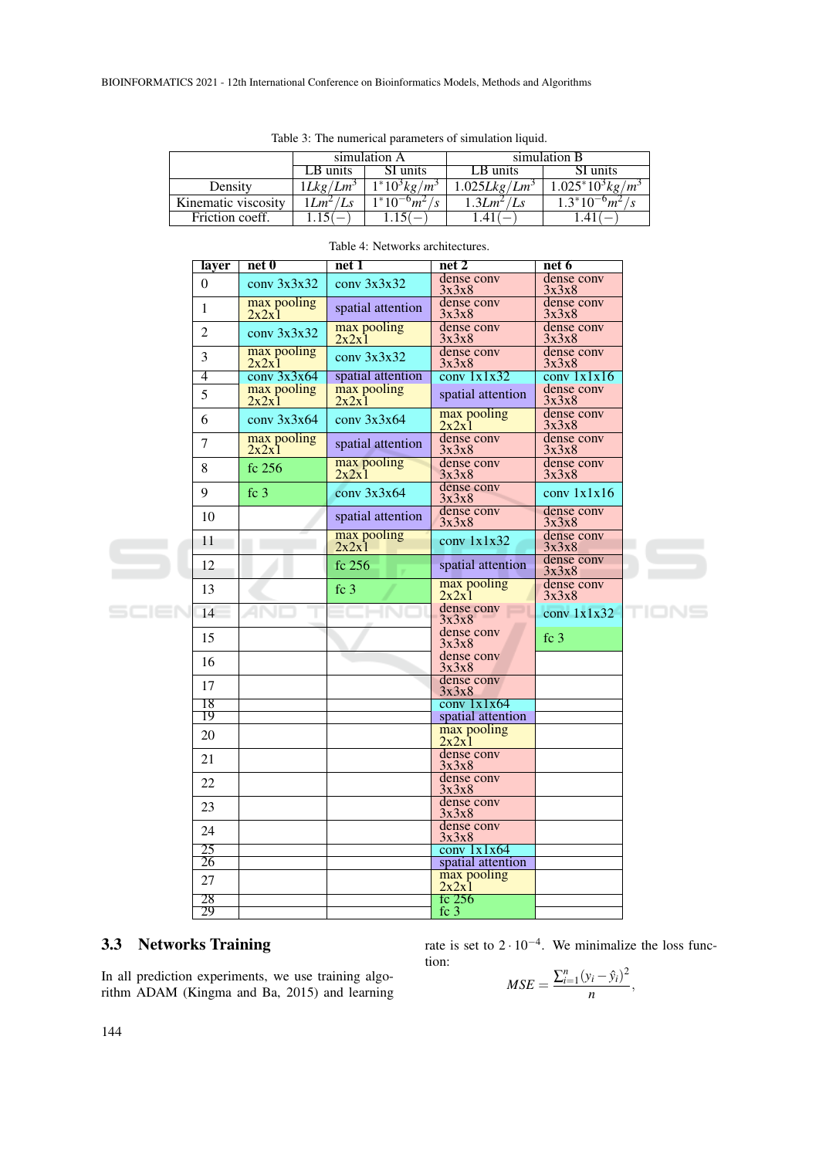|                     |                      | simulation A                 | simulation B             |                             |  |
|---------------------|----------------------|------------------------------|--------------------------|-----------------------------|--|
|                     | SI units<br>LB units |                              | LB units                 | SI units                    |  |
| Density             | 1Lkg/Lm <sup>3</sup> | $1*10^{3}$ kg/m <sup>3</sup> | 1.025Lkg/Lm <sup>3</sup> | $\sqrt{1.025^*}10^3 kg/m^3$ |  |
| Kinematic viscosity | $1Lm^2/Ls$           | $1*10^{-6}m^2/s$             | $1.3Lm^2/Ls$             | $1.3*10^{-6}m^2$            |  |
| Friction coeff.     |                      |                              |                          |                             |  |

Table 3: The numerical parameters of simulation liquid.

| layer            | net 0                | net <sub>1</sub>     | net 2                                            | net 6                           |  |
|------------------|----------------------|----------------------|--------------------------------------------------|---------------------------------|--|
| $\boldsymbol{0}$ | conv 3x3x32          | conv 3x3x32          | dense conv<br>3x3x8                              | dense conv<br>3x3x8             |  |
| 1                | max pooling<br>2x2x1 | spatial attention    | dense conv<br>3x3x8                              | dense conv<br>3x3x8             |  |
| $\overline{2}$   | conv 3x3x32          | max pooling<br>2x2x1 | dense conv<br>3x3x8                              | dense conv<br>3x3x8             |  |
| 3                | max pooling<br>2x2x1 | conv 3x3x32          | dense conv<br>3x3x8                              | dense conv<br>3x3x8             |  |
| $\overline{4}$   | conv 3x3x64          | spatial attention    | conv 1x1x32                                      | $\overline{\text{conv }1x1x16}$ |  |
| 5                | max pooling<br>2x2x1 | max pooling<br>2x2x1 | spatial attention                                | dense conv<br>3x3x8             |  |
| 6                | conv.3x3x64          | conv.3x3x64          | $\frac{\text{max pooling}}{2x2x1}$               | dense conv<br>3x3x8             |  |
| $\overline{7}$   | max pooling<br>2x2x1 | spatial attention    | dense conv<br>3x3x8                              | dense conv<br>3x3x8             |  |
| 8                | fc 256               | max pooling<br>2x2x1 | dense conv<br>3x3x8                              | dense conv<br>3x3x8             |  |
| 9                | fc <sub>3</sub>      | conv 3x3x64          | dense conv<br>3x3x8                              | conv 1x1x16                     |  |
| 10               |                      | spatial attention    | dense conv<br>3x3x8                              | dense conv<br>3x3x8             |  |
| 11               |                      | max pooling<br>2x2x1 | conv 1x1x32                                      | dense conv<br>3x3x8             |  |
| 12               |                      | fc 256               | spatial attention                                | dense conv<br>3x3x8             |  |
| 13               |                      | fc <sub>3</sub>      | max pooling<br>2x2x1                             | dense conv<br>3x3x8             |  |
| 14               | ANI                  | 1 N 1                | dense conv<br>3x3x8                              | conv $1x1x32$                   |  |
| 15               |                      |                      | dense conv<br>3x3x8                              | fc <sub>3</sub>                 |  |
| 16               |                      |                      | dense conv<br>3x3x8                              |                                 |  |
| 17               |                      |                      | dense conv<br>3x3x8                              |                                 |  |
| 18               |                      |                      | conv 1x1x64                                      |                                 |  |
| 19               |                      |                      | spatial attention                                |                                 |  |
| 20               |                      |                      | $\frac{\text{max pooling}}{2x2x1}$<br>dense conv |                                 |  |
| 21               |                      |                      | 3x3x8<br>dense conv                              |                                 |  |
| 22               |                      |                      | 3x3x8<br>dense conv                              |                                 |  |
| 23               |                      |                      | 3x3x8<br>dense conv                              |                                 |  |
| 24<br>25         |                      |                      | 3x3x8<br>conv 1x1x64                             |                                 |  |
| 26               |                      |                      | spatial attention                                |                                 |  |
|                  |                      |                      | max pooling                                      |                                 |  |
| 27<br>28         |                      |                      | 2x2x1<br>fc 256                                  |                                 |  |
| 29               |                      |                      | fc $3$                                           |                                 |  |
|                  |                      |                      |                                                  |                                 |  |

#### Table 4: Networks architectures.

# 3.3 Networks Training

In all prediction experiments, we use training algorithm ADAM (Kingma and Ba, 2015) and learning

rate is set to  $2 \cdot 10^{-4}$ . We minimalize the loss function:

$$
MSE = \frac{\sum_{i=1}^{n} (y_i - \hat{y}_i)^2}{n},
$$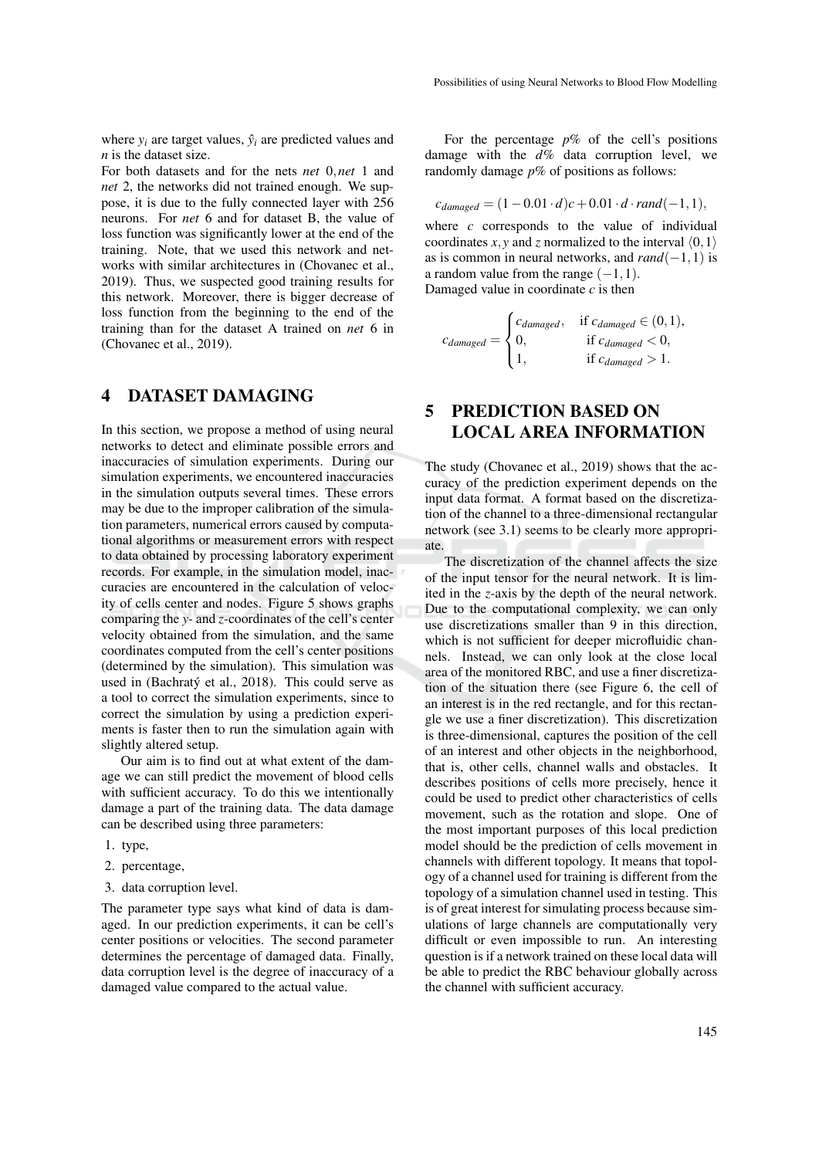where  $y_i$  are target values,  $\hat{y}_i$  are predicted values and *n* is the dataset size.

For both datasets and for the nets *net* 0,*net* 1 and *net* 2, the networks did not trained enough. We suppose, it is due to the fully connected layer with 256 neurons. For *net* 6 and for dataset B, the value of loss function was significantly lower at the end of the training. Note, that we used this network and networks with similar architectures in (Chovanec et al., 2019). Thus, we suspected good training results for this network. Moreover, there is bigger decrease of loss function from the beginning to the end of the training than for the dataset A trained on *net* 6 in (Chovanec et al., 2019).

#### 4 DATASET DAMAGING

In this section, we propose a method of using neural networks to detect and eliminate possible errors and inaccuracies of simulation experiments. During our simulation experiments, we encountered inaccuracies in the simulation outputs several times. These errors may be due to the improper calibration of the simulation parameters, numerical errors caused by computational algorithms or measurement errors with respect to data obtained by processing laboratory experiment records. For example, in the simulation model, inaccuracies are encountered in the calculation of velocity of cells center and nodes. Figure 5 shows graphs comparing the *y*- and *z*-coordinates of the cell's center velocity obtained from the simulation, and the same coordinates computed from the cell's center positions (determined by the simulation). This simulation was used in (Bachratý et al., 2018). This could serve as a tool to correct the simulation experiments, since to correct the simulation by using a prediction experiments is faster then to run the simulation again with slightly altered setup.

Our aim is to find out at what extent of the damage we can still predict the movement of blood cells with sufficient accuracy. To do this we intentionally damage a part of the training data. The data damage can be described using three parameters:

- 1. type,
- 2. percentage,
- 3. data corruption level.

The parameter type says what kind of data is damaged. In our prediction experiments, it can be cell's center positions or velocities. The second parameter determines the percentage of damaged data. Finally, data corruption level is the degree of inaccuracy of a damaged value compared to the actual value.

For the percentage *p*% of the cell's positions damage with the *d*% data corruption level, we randomly damage *p*% of positions as follows:

$$
c_{damaged} = (1 - 0.01 \cdot d)c + 0.01 \cdot d \cdot rand(-1, 1),
$$

where *c* corresponds to the value of individual coordinates *x*, *y* and *z* normalized to the interval  $\langle 0,1 \rangle$ as is common in neural networks, and  $rand(-1,1)$  is a random value from the range  $(-1,1)$ . Damaged value in coordinate *c* is then

$$
c_{damaged} = \begin{cases} c_{damaged}, & \text{if } c_{damaged} \in (0, 1), \\ 0, & \text{if } c_{damaged} < 0, \\ 1, & \text{if } c_{damaged} > 1. \end{cases}
$$

## 5 PREDICTION BASED ON LOCAL AREA INFORMATION

The study (Chovanec et al., 2019) shows that the accuracy of the prediction experiment depends on the input data format. A format based on the discretization of the channel to a three-dimensional rectangular network (see 3.1) seems to be clearly more appropriate.

The discretization of the channel affects the size of the input tensor for the neural network. It is limited in the *z*-axis by the depth of the neural network. Due to the computational complexity, we can only use discretizations smaller than 9 in this direction, which is not sufficient for deeper microfluidic channels. Instead, we can only look at the close local area of the monitored RBC, and use a finer discretization of the situation there (see Figure 6, the cell of an interest is in the red rectangle, and for this rectangle we use a finer discretization). This discretization is three-dimensional, captures the position of the cell of an interest and other objects in the neighborhood, that is, other cells, channel walls and obstacles. It describes positions of cells more precisely, hence it could be used to predict other characteristics of cells movement, such as the rotation and slope. One of the most important purposes of this local prediction model should be the prediction of cells movement in channels with different topology. It means that topology of a channel used for training is different from the topology of a simulation channel used in testing. This is of great interest for simulating process because simulations of large channels are computationally very difficult or even impossible to run. An interesting question is if a network trained on these local data will be able to predict the RBC behaviour globally across the channel with sufficient accuracy.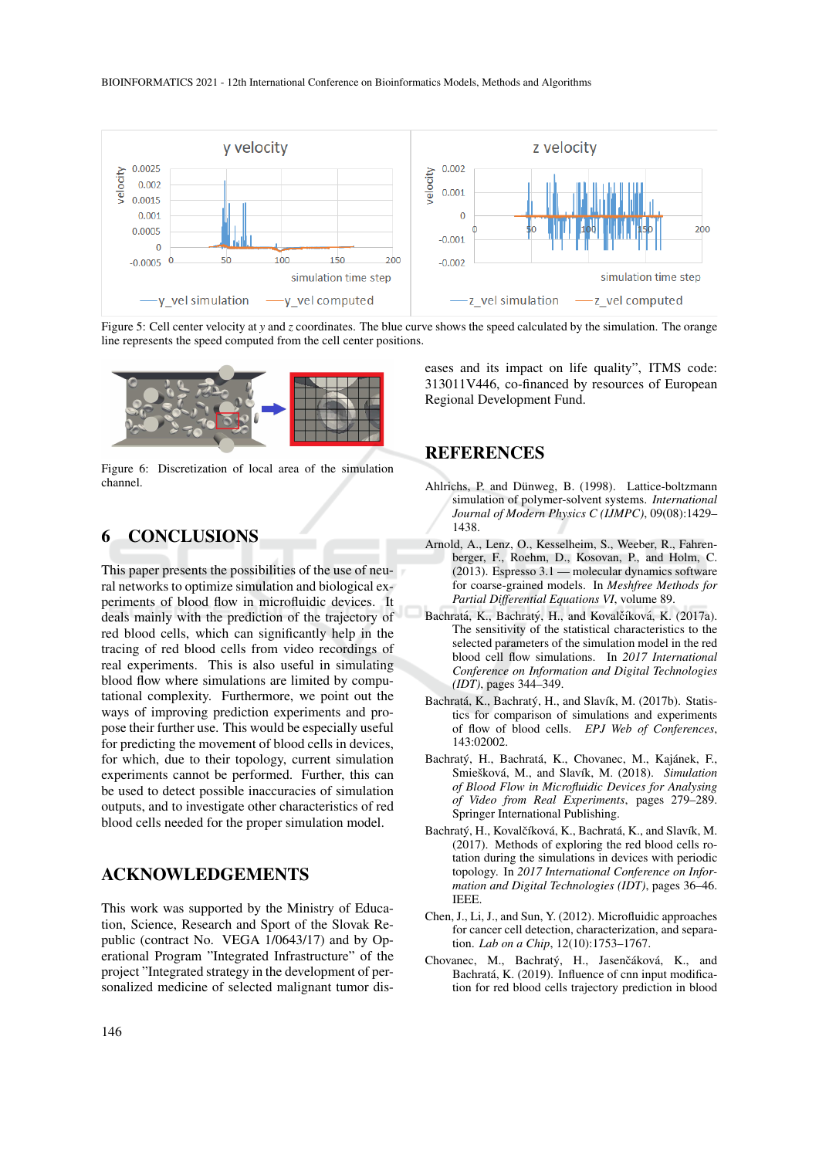

Figure 5: Cell center velocity at *y* and *z* coordinates. The blue curve shows the speed calculated by the simulation. The orange line represents the speed computed from the cell center positions.



Figure 6: Discretization of local area of the simulation channel.

### 6 CONCLUSIONS

This paper presents the possibilities of the use of neural networks to optimize simulation and biological experiments of blood flow in microfluidic devices. It deals mainly with the prediction of the trajectory of red blood cells, which can significantly help in the tracing of red blood cells from video recordings of real experiments. This is also useful in simulating blood flow where simulations are limited by computational complexity. Furthermore, we point out the ways of improving prediction experiments and propose their further use. This would be especially useful for predicting the movement of blood cells in devices, for which, due to their topology, current simulation experiments cannot be performed. Further, this can be used to detect possible inaccuracies of simulation outputs, and to investigate other characteristics of red blood cells needed for the proper simulation model.

#### ACKNOWLEDGEMENTS

This work was supported by the Ministry of Education, Science, Research and Sport of the Slovak Republic (contract No. VEGA 1/0643/17) and by Operational Program "Integrated Infrastructure" of the project "Integrated strategy in the development of personalized medicine of selected malignant tumor diseases and its impact on life quality", ITMS code: 313011V446, co-financed by resources of European Regional Development Fund.

### REFERENCES

- Ahlrichs, P. and Dünweg, B. (1998). Lattice-boltzmann simulation of polymer-solvent systems. *International Journal of Modern Physics C (IJMPC)*, 09(08):1429– 1438.
- Arnold, A., Lenz, O., Kesselheim, S., Weeber, R., Fahrenberger, F., Roehm, D., Kosovan, P., and Holm, C. (2013). Espresso 3.1 — molecular dynamics software for coarse-grained models. In *Meshfree Methods for Partial Differential Equations VI*, volume 89.
- Bachratá, K., Bachratý, H., and Kovalčíková, K. (2017a). The sensitivity of the statistical characteristics to the selected parameters of the simulation model in the red blood cell flow simulations. In *2017 International Conference on Information and Digital Technologies (IDT)*, pages 344–349.
- Bachratá, K., Bachratý, H., and Slavík, M. (2017b). Statistics for comparison of simulations and experiments of flow of blood cells. *EPJ Web of Conferences*, 143:02002.
- Bachratý, H., Bachratá, K., Chovanec, M., Kajánek, F., Smiešková, M., and Slavík, M. (2018). *Simulation of Blood Flow in Microfluidic Devices for Analysing of Video from Real Experiments*, pages 279–289. Springer International Publishing.
- Bachratý, H., Kovalčíková, K., Bachratá, K., and Slavík, M. (2017). Methods of exploring the red blood cells rotation during the simulations in devices with periodic topology. In *2017 International Conference on Information and Digital Technologies (IDT)*, pages 36–46. IEEE.
- Chen, J., Li, J., and Sun, Y. (2012). Microfluidic approaches for cancer cell detection, characterization, and separation. *Lab on a Chip*, 12(10):1753–1767.
- Chovanec, M., Bachratý, H., Jasenčáková, K., and Bachratá, K. (2019). Influence of cnn input modification for red blood cells trajectory prediction in blood